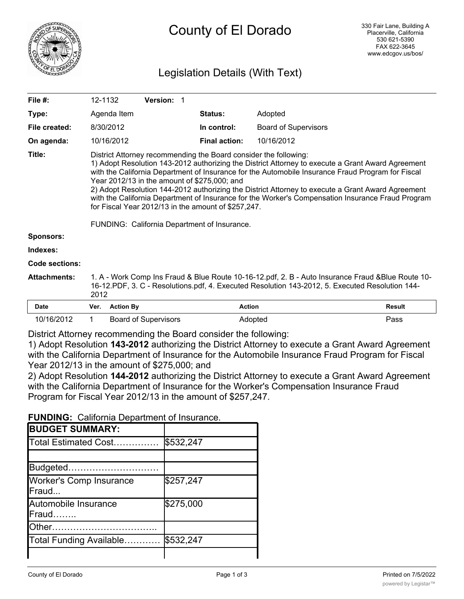

# County of El Dorado

# Legislation Details (With Text)

| File #:             | 12-1132                                                                                                                                                                                                                                                                                                                                                                                                                                                                                                                                                                                                                                     |                             |  | <b>Version: 1</b> |  |  |  |                      |               |                             |               |
|---------------------|---------------------------------------------------------------------------------------------------------------------------------------------------------------------------------------------------------------------------------------------------------------------------------------------------------------------------------------------------------------------------------------------------------------------------------------------------------------------------------------------------------------------------------------------------------------------------------------------------------------------------------------------|-----------------------------|--|-------------------|--|--|--|----------------------|---------------|-----------------------------|---------------|
| Type:               |                                                                                                                                                                                                                                                                                                                                                                                                                                                                                                                                                                                                                                             | Agenda Item                 |  |                   |  |  |  | <b>Status:</b>       |               | Adopted                     |               |
| File created:       |                                                                                                                                                                                                                                                                                                                                                                                                                                                                                                                                                                                                                                             | 8/30/2012                   |  |                   |  |  |  | In control:          |               | <b>Board of Supervisors</b> |               |
| On agenda:          |                                                                                                                                                                                                                                                                                                                                                                                                                                                                                                                                                                                                                                             | 10/16/2012                  |  |                   |  |  |  | <b>Final action:</b> |               | 10/16/2012                  |               |
| Title:              | District Attorney recommending the Board consider the following:<br>1) Adopt Resolution 143-2012 authorizing the District Attorney to execute a Grant Award Agreement<br>with the California Department of Insurance for the Automobile Insurance Fraud Program for Fiscal<br>Year 2012/13 in the amount of \$275,000; and<br>2) Adopt Resolution 144-2012 authorizing the District Attorney to execute a Grant Award Agreement<br>with the California Department of Insurance for the Worker's Compensation Insurance Fraud Program<br>for Fiscal Year 2012/13 in the amount of \$257,247.<br>FUNDING: California Department of Insurance. |                             |  |                   |  |  |  |                      |               |                             |               |
| <b>Sponsors:</b>    |                                                                                                                                                                                                                                                                                                                                                                                                                                                                                                                                                                                                                                             |                             |  |                   |  |  |  |                      |               |                             |               |
| Indexes:            |                                                                                                                                                                                                                                                                                                                                                                                                                                                                                                                                                                                                                                             |                             |  |                   |  |  |  |                      |               |                             |               |
| Code sections:      |                                                                                                                                                                                                                                                                                                                                                                                                                                                                                                                                                                                                                                             |                             |  |                   |  |  |  |                      |               |                             |               |
| <b>Attachments:</b> | 1. A - Work Comp Ins Fraud & Blue Route 10-16-12.pdf, 2. B - Auto Insurance Fraud & Blue Route 10-<br>16-12.PDF, 3. C - Resolutions.pdf, 4. Executed Resolution 143-2012, 5. Executed Resolution 144-<br>2012                                                                                                                                                                                                                                                                                                                                                                                                                               |                             |  |                   |  |  |  |                      |               |                             |               |
| <b>Date</b>         | Ver.                                                                                                                                                                                                                                                                                                                                                                                                                                                                                                                                                                                                                                        | <b>Action By</b>            |  |                   |  |  |  |                      | <b>Action</b> |                             | <b>Result</b> |
| 10/16/2012          | 1                                                                                                                                                                                                                                                                                                                                                                                                                                                                                                                                                                                                                                           | <b>Board of Supervisors</b> |  |                   |  |  |  |                      | Adopted       |                             | Pass          |

District Attorney recommending the Board consider the following:

1) Adopt Resolution **143-2012** authorizing the District Attorney to execute a Grant Award Agreement with the California Department of Insurance for the Automobile Insurance Fraud Program for Fiscal Year 2012/13 in the amount of \$275,000; and

2) Adopt Resolution **144-2012** authorizing the District Attorney to execute a Grant Award Agreement with the California Department of Insurance for the Worker's Compensation Insurance Fraud Program for Fiscal Year 2012/13 in the amount of \$257,247.

**FUNDING:** California Department of Insurance.

| <b>BUDGET SUMMARY:</b>                  |           |
|-----------------------------------------|-----------|
| Total Estimated Cost                    | \$532,247 |
|                                         |           |
| Budgeted                                |           |
| <b>Worker's Comp Insurance</b><br>Fraud | \$257,247 |
| Automobile Insurance<br>Fraud           | \$275,000 |
| Other                                   |           |
| Total Funding Available                 | \$532,247 |
|                                         |           |

Change To Net County Cost…… \$0